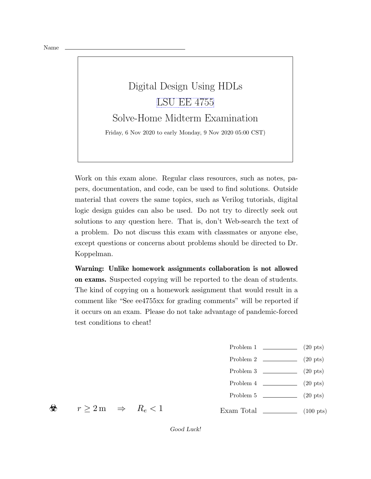## Digital Design Using HDLs [LSU EE 4755](https://www.ece.lsu.edu/koppel/v/) Solve-Home Midterm Examination Friday, 6 Nov 2020 to early Monday, 9 Nov 2020 05:00 CST)

Work on this exam alone. Regular class resources, such as notes, papers, documentation, and code, can be used to find solutions. Outside material that covers the same topics, such as Verilog tutorials, digital logic design guides can also be used. Do not try to directly seek out solutions to any question here. That is, don't Web-search the text of a problem. Do not discuss this exam with classmates or anyone else, except questions or concerns about problems should be directed to Dr. Koppelman.

Warning: Unlike homework assignments collaboration is not allowed on exams. Suspected copying will be reported to the dean of students. The kind of copying on a homework assignment that would result in a comment like "See ee4755xx for grading comments" will be reported if it occurs on an exam. Please do not take advantage of pandemic-forced test conditions to cheat!

- Problem 1  $\qquad \qquad (20 \text{ pts})$
- Problem 2  $\qquad \qquad$  (20 pts)
- Problem  $3 \t\t(20 \text{ pts})$
- Problem  $4 \quad \underline{\hspace{1cm}} (20 \text{ pts})$
- Problem 5 (20 pts)
- Exam Total  $\qquad \qquad$  (100 pts)

☣

 $r \geq 2 \,\mathrm{m} \quad \Rightarrow \quad R_e < 1$ 

Good Luck!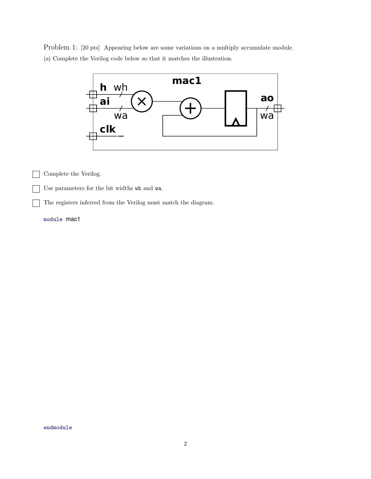Problem 1: [20 pts] Appearing below are some variations on a multiply accumulate module. (a) Complete the Verilog code below so that it matches the illustration.



Complete the Verilog.

Use parameters for the bit widths wh and wa.

The registers inferred from the Verilog must match the diagram.

module mac1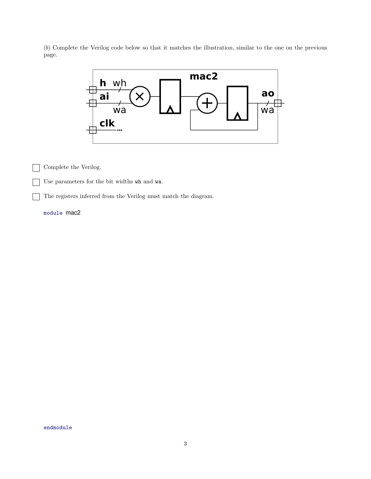(b) Complete the Verilog code below so that it matches the illustration, similar to the one on the previous page.



Complete the Verilog.  $\mathbf{I}$ 

Use parameters for the bit widths wh and wa.

The registers inferred from the Verilog must match the diagram.

module mac2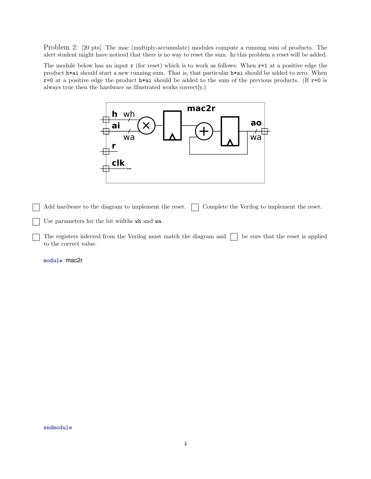Problem 2: [20 pts] The mac (multiply-accumulate) modules compute a running sum of products. The alert student might have noticed that there is no way to reset the sum. In this problem a reset will be added.

The module below has an input  $r$  (for reset) which is to work as follows: When  $r=1$  at a positive edge the product h\*ai should start a new running sum. That is, that particular h\*ai should be added to zero. When  $r=0$  at a positive edge the product  $h*ai$  should be added to the sum of the previous products. (If  $r=0$  is always true then the hardware as illustrated works correctly.)



Add hardware to the diagram to implement the reset.  $\Box$  Complete the Verilog to implement the reset.

Use parameters for the bit widths wh and wa.

The registers inferred from the Verilog must match the diagram and  $\Box$  be sure that the reset is applied to the correct value.

module mac2r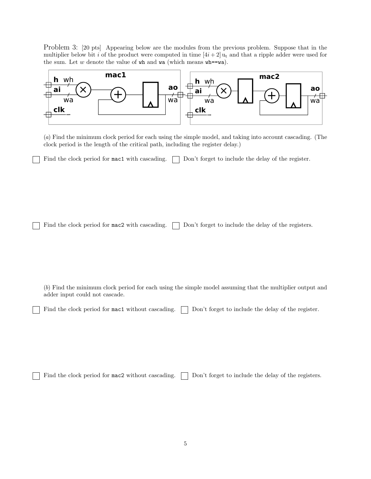Problem 3: [20 pts] Appearing below are the modules from the previous problem. Suppose that in the multiplier below bit i of the product were computed in time  $[4i + 2]$  u<sub>t</sub> and that a ripple adder were used for the sum. Let  $w$  denote the value of  $wh$  and  $wa$  (which means  $wh = wa$ ).



(a) Find the minimum clock period for each using the simple model, and taking into account cascading. (The clock period is the length of the critical path, including the register delay.)

Find the clock period for  $\text{mac1}$  with cascading.  $\Box$  Don't forget to include the delay of the register.

Find the clock period for mac2 with cascading. Don't forget to include the delay of the registers.

(b) Find the minimum clock period for each using the simple model assuming that the multiplier output and adder input could not cascade.

Find the clock period for mac1 without cascading.  $\Box$  Don't forget to include the delay of the register.

Find the clock period for  $\texttt{mac2}$  without cascading.  $\Box$  Don't forget to include the delay of the registers.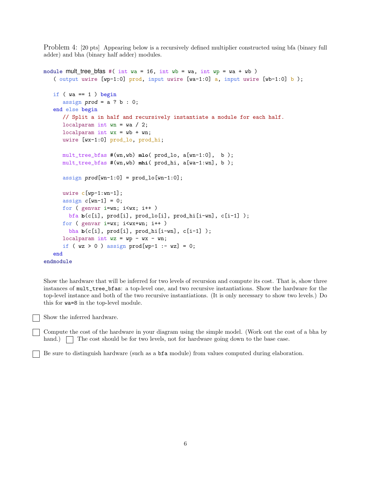Problem 4: [20 pts] Appearing below is a recursively defined multiplier constructed using bfa (binary full adder) and bha (binary half adder) modules.

```
module mult tree bfas #( int wa = 16, int wb = wa, int wp = wa + wb)
   ( output uwire [wp-1:0] prod, input uwire [wa-1:0] a, input uwire [wb-1:0] b);
   if (wa == 1) begin
      assign prod = a ? b : 0;end else begin
     // Split a in half and recursively instantiate a module for each half.
     localparam int wn = wa / 2;
      localparam int wx = wb + wn;uwire [wx-1:0] prod_lo, prod_hi;
     mult_tree_bfas #(wn,wb) mlo( prod_lo, a[wn-1:0], b );
     mult_tree_bfas #(wn,wb) mhi( prod_hi, a[wa-1:wn], b );
      assign prod(wn-1:0] = prod\_lo[wn-1:0];
     uwire c[wp-1:wn-1];
      assign c[wn-1] = 0;
     for ( genvar i=wn; i<wx; i++ )
        bfa b(c[i], prod[i], prod_lo[i], prod_hi[i-wn], c[i-1] );
     for ( genvar i=wx; i\leq wx+wn; i++ )
       bha b(c[i], prod[i], prod_hi[i-wn], c[i-1] );
     localparam int wz = wp - wx - wn;if (wz > 0) assign prod[wp-1 := wz] = 0;
   end
endmodule
```
Show the hardware that will be inferred for two levels of recursion and compute its cost. That is, show three instances of mult\_tree\_bfas: a top-level one, and two recursive instantiations. Show the hardware for the top-level instance and both of the two recursive instantiations. (It is only necessary to show two levels.) Do this for wa=8 in the top-level module.

Show the inferred hardware.

Compute the cost of the hardware in your diagram using the simple model. (Work out the cost of a bha by hand.) The cost should be for two levels, not for hardware going down to the base case.

Be sure to distinguish hardware (such as a bfa module) from values computed during elaboration.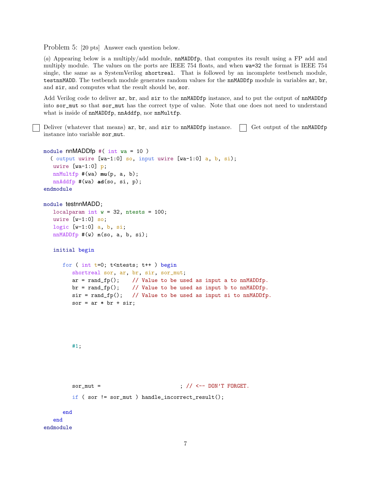Problem 5: [20 pts] Answer each question below.

(a) Appearing below is a multiply/add module, nnMADDfp, that computes its result using a FP add and multiply module. The values on the ports are IEEE 754 floats, and when wa=32 the format is IEEE 754 single, the same as a SystemVerilog shortreal. That is followed by an incomplete testbench module, testnnMADD. The testbench module generates random values for the nnMADDfp module in variables ar, br, and sir, and computes what the result should be, sor.

Add Verilog code to deliver ar, br, and sir to the nnMADDfp instance, and to put the output of nnMADDfp into sor\_mut so that sor\_mut has the correct type of value. Note that one does not need to understand what is inside of nnMADDfp, nnAddfp, nor nnMultfp.

Deliver (whatever that means)  $ar$ , br, and  $sir$  to nnMADDfp instance.  $\vert \cdot \vert$  Get output of the nnMADDfp instance into variable sor mut.

```
module nnMADDfp #( int wa = 10)
  ( output uwire [wa-1:0] so, input uwire [wa-1:0] a, b, si);
  uwire [wa-1:0] p;
  nnMultfp #(wa) mu(p, a, b);
  nnAddfp #(wa) ad(so, si, p);
endmodule
```

```
module testnnMADD;
```
localparam int  $w = 32$ , ntests = 100; uwire  $[w-1:0]$  so; logic [w-1:0] a, b, si; nnMADDfp #(w) **n**(so, a, b, si);

```
initial begin
```

```
for ( int t=0; t<ntests; t++ ) begin
  shortreal sor, ar, br, sir, sor_mut;
  ar = rand_f p(); // Value to be used as input a to nnMADDfp.
  br = rand_fp(); // Value to be used as input b to nnMADDfp.
  sir = rand_fp(); // Value to be used as input si to nnMADDfp.
  sor = ar * br + sir;
```
#1;

```
\texttt{sort\_mut} = \qquad \qquad ; \ \texttt{ // } \texttt{ <- } \texttt{ - } \texttt{DON'} \texttt{ T } \texttt{ FORGET}.if ( sor != sor_mut ) handle_incorrect_result();
     end
end
```

```
endmodule
```